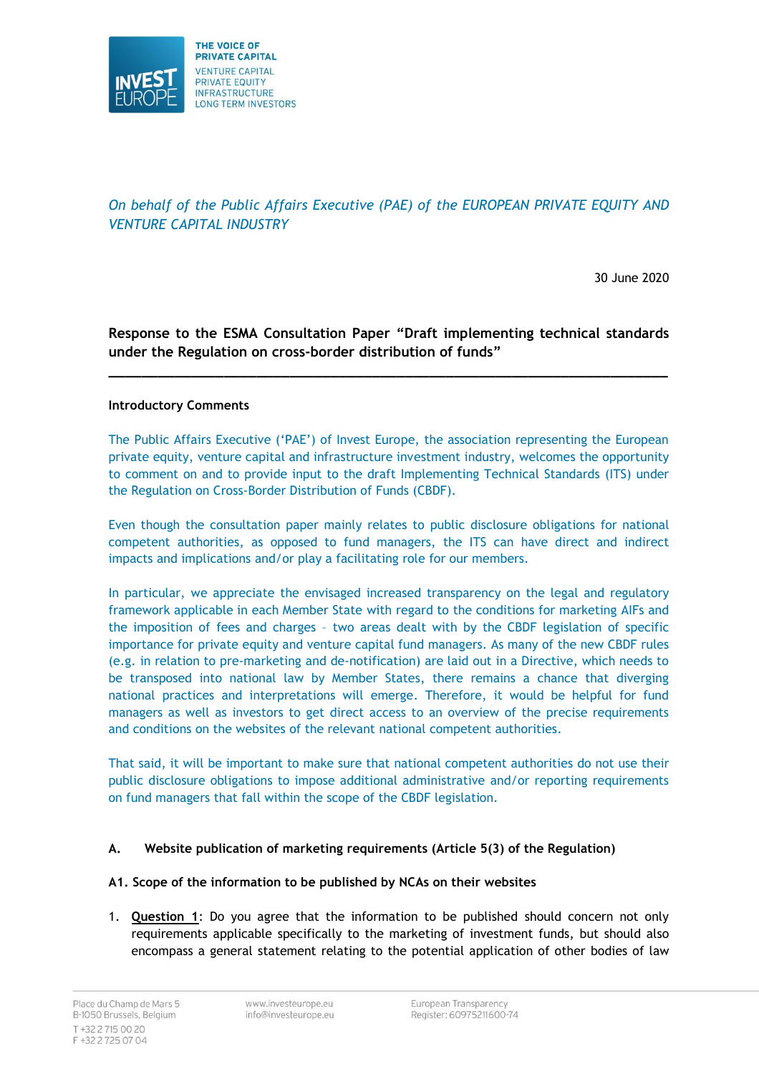

*On behalf of the Public Affairs Executive (PAE) of the EUROPEAN PRIVATE EQUITY AND VENTURE CAPITAL INDUSTRY*

30 June 2020

**Response to the ESMA Consultation Paper "Draft implementing technical standards under the Regulation on cross-border distribution of funds"**

**\_\_\_\_\_\_\_\_\_\_\_\_\_\_\_\_\_\_\_\_\_\_\_\_\_\_\_\_\_\_\_\_\_\_\_\_\_\_\_\_\_\_\_\_\_\_\_\_\_\_\_\_\_\_\_\_\_\_\_\_\_\_\_\_\_\_\_\_**

## **Introductory Comments**

The Public Affairs Executive ('PAE') of Invest Europe, the association representing the European private equity, venture capital and infrastructure investment industry, welcomes the opportunity to comment on and to provide input to the draft Implementing Technical Standards (ITS) under the Regulation on Cross-Border Distribution of Funds (CBDF).

Even though the consultation paper mainly relates to public disclosure obligations for national competent authorities, as opposed to fund managers, the ITS can have direct and indirect impacts and implications and/or play a facilitating role for our members.

In particular, we appreciate the envisaged increased transparency on the legal and regulatory framework applicable in each Member State with regard to the conditions for marketing AIFs and the imposition of fees and charges – two areas dealt with by the CBDF legislation of specific importance for private equity and venture capital fund managers. As many of the new CBDF rules (e.g. in relation to pre-marketing and de-notification) are laid out in a Directive, which needs to be transposed into national law by Member States, there remains a chance that diverging national practices and interpretations will emerge. Therefore, it would be helpful for fund managers as well as investors to get direct access to an overview of the precise requirements and conditions on the websites of the relevant national competent authorities.

That said, it will be important to make sure that national competent authorities do not use their public disclosure obligations to impose additional administrative and/or reporting requirements on fund managers that fall within the scope of the CBDF legislation.

## **A. Website publication of marketing requirements (Article 5(3) of the Regulation)**

## **A1. Scope of the information to be published by NCAs on their websites**

1. **Question 1**: Do you agree that the information to be published should concern not only requirements applicable specifically to the marketing of investment funds, but should also encompass a general statement relating to the potential application of other bodies of law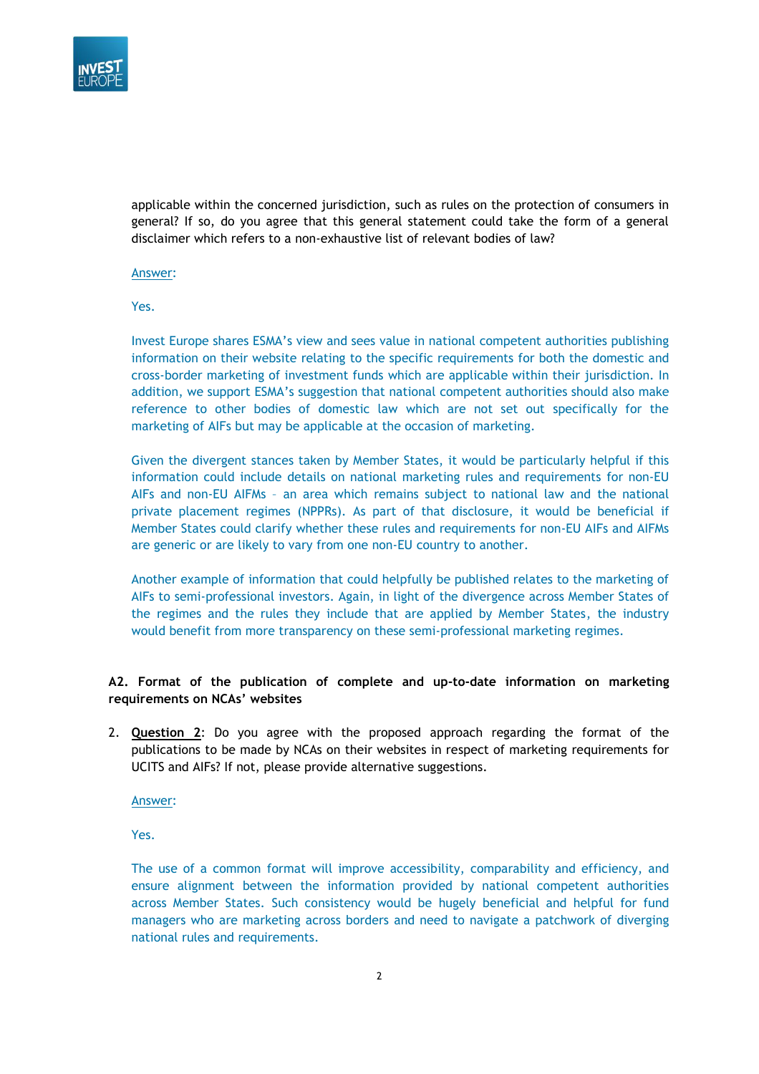

applicable within the concerned jurisdiction, such as rules on the protection of consumers in general? If so, do you agree that this general statement could take the form of a general disclaimer which refers to a non-exhaustive list of relevant bodies of law?

Answer:

Yes.

Invest Europe shares ESMA's view and sees value in national competent authorities publishing information on their website relating to the specific requirements for both the domestic and cross-border marketing of investment funds which are applicable within their jurisdiction. In addition, we support ESMA's suggestion that national competent authorities should also make reference to other bodies of domestic law which are not set out specifically for the marketing of AIFs but may be applicable at the occasion of marketing.

Given the divergent stances taken by Member States, it would be particularly helpful if this information could include details on national marketing rules and requirements for non-EU AIFs and non-EU AIFMs – an area which remains subject to national law and the national private placement regimes (NPPRs). As part of that disclosure, it would be beneficial if Member States could clarify whether these rules and requirements for non-EU AIFs and AIFMs are generic or are likely to vary from one non-EU country to another.

Another example of information that could helpfully be published relates to the marketing of AIFs to semi-professional investors. Again, in light of the divergence across Member States of the regimes and the rules they include that are applied by Member States, the industry would benefit from more transparency on these semi-professional marketing regimes.

## **A2. Format of the publication of complete and up-to-date information on marketing requirements on NCAs' websites**

2. **Question 2**: Do you agree with the proposed approach regarding the format of the publications to be made by NCAs on their websites in respect of marketing requirements for UCITS and AIFs? If not, please provide alternative suggestions.

Answer:

Yes.

The use of a common format will improve accessibility, comparability and efficiency, and ensure alignment between the information provided by national competent authorities across Member States. Such consistency would be hugely beneficial and helpful for fund managers who are marketing across borders and need to navigate a patchwork of diverging national rules and requirements.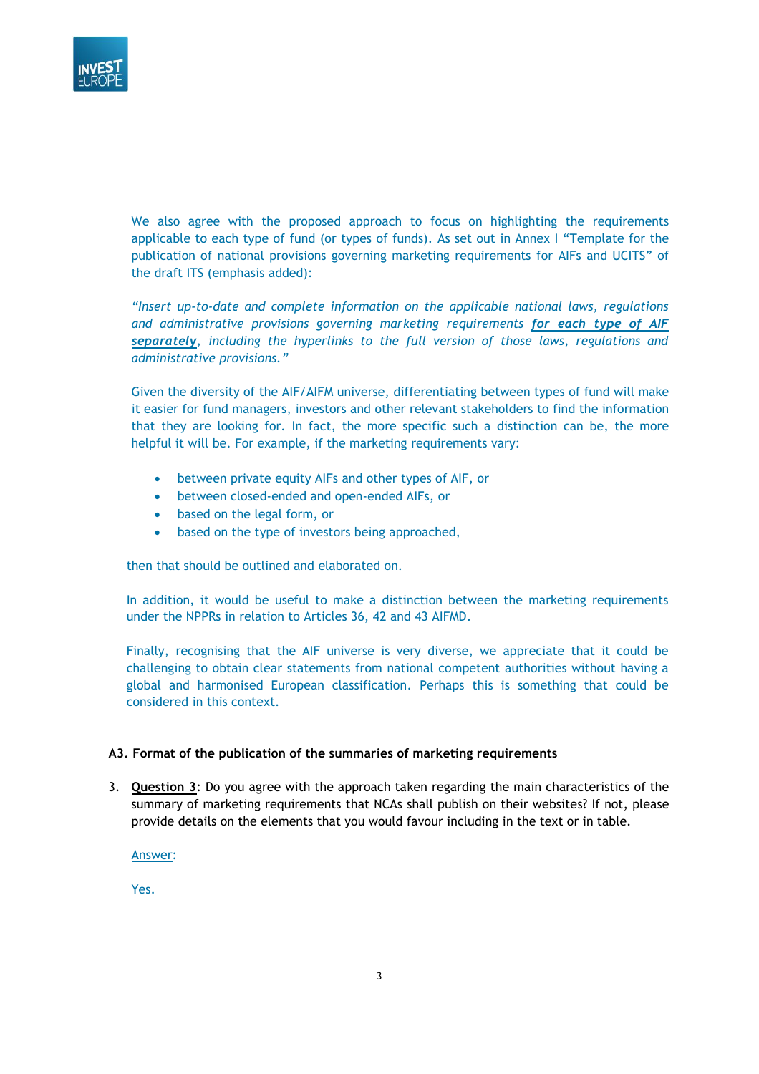

We also agree with the proposed approach to focus on highlighting the requirements applicable to each type of fund (or types of funds). As set out in Annex I "Template for the publication of national provisions governing marketing requirements for AIFs and UCITS" of the draft ITS (emphasis added):

*"Insert up-to-date and complete information on the applicable national laws, regulations and administrative provisions governing marketing requirements for each type of AIF separately, including the hyperlinks to the full version of those laws, regulations and administrative provisions."*

Given the diversity of the AIF/AIFM universe, differentiating between types of fund will make it easier for fund managers, investors and other relevant stakeholders to find the information that they are looking for. In fact, the more specific such a distinction can be, the more helpful it will be. For example, if the marketing requirements vary:

- between private equity AIFs and other types of AIF, or
- between closed-ended and open-ended AIFs, or
- based on the legal form, or
- based on the type of investors being approached,

then that should be outlined and elaborated on.

In addition, it would be useful to make a distinction between the marketing requirements under the NPPRs in relation to Articles 36, 42 and 43 AIFMD.

Finally, recognising that the AIF universe is very diverse, we appreciate that it could be challenging to obtain clear statements from national competent authorities without having a global and harmonised European classification. Perhaps this is something that could be considered in this context.

#### **A3. Format of the publication of the summaries of marketing requirements**

3. **Question 3**: Do you agree with the approach taken regarding the main characteristics of the summary of marketing requirements that NCAs shall publish on their websites? If not, please provide details on the elements that you would favour including in the text or in table.

Answer:

Yes.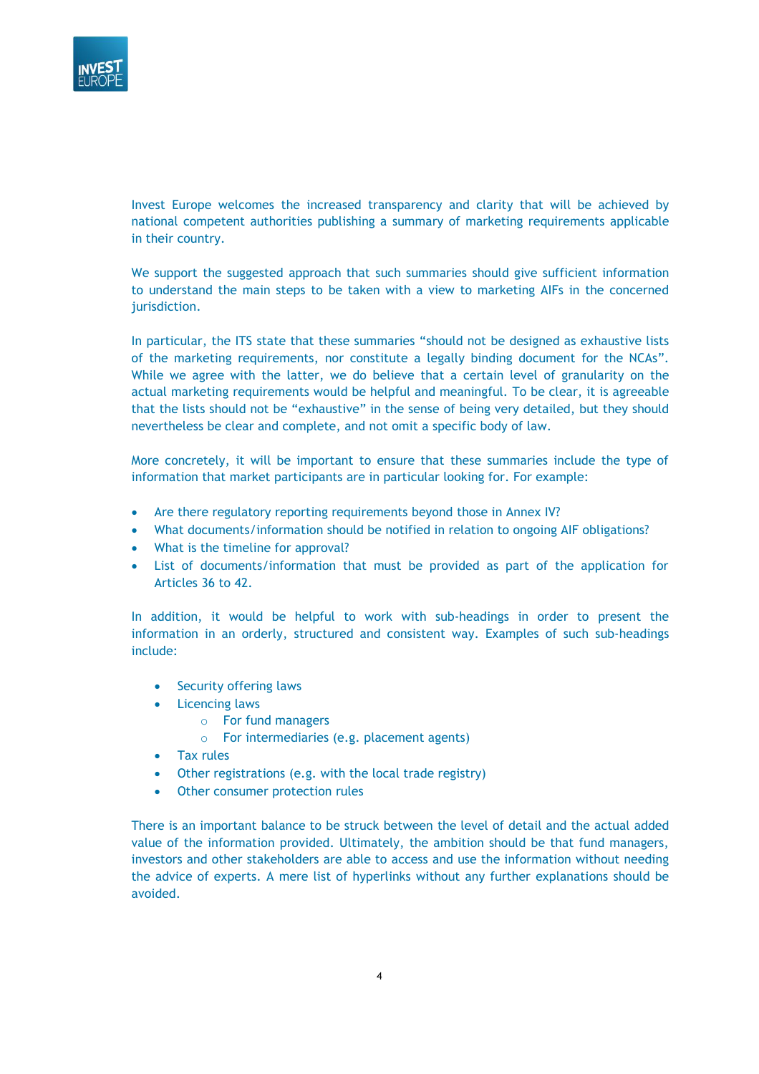

Invest Europe welcomes the increased transparency and clarity that will be achieved by national competent authorities publishing a summary of marketing requirements applicable in their country.

We support the suggested approach that such summaries should give sufficient information to understand the main steps to be taken with a view to marketing AIFs in the concerned jurisdiction.

In particular, the ITS state that these summaries "should not be designed as exhaustive lists of the marketing requirements, nor constitute a legally binding document for the NCAs". While we agree with the latter, we do believe that a certain level of granularity on the actual marketing requirements would be helpful and meaningful. To be clear, it is agreeable that the lists should not be "exhaustive" in the sense of being very detailed, but they should nevertheless be clear and complete, and not omit a specific body of law.

More concretely, it will be important to ensure that these summaries include the type of information that market participants are in particular looking for. For example:

- Are there regulatory reporting requirements beyond those in Annex IV?
- What documents/information should be notified in relation to ongoing AIF obligations?
- What is the timeline for approval?
- List of documents/information that must be provided as part of the application for Articles 36 to 42.

In addition, it would be helpful to work with sub-headings in order to present the information in an orderly, structured and consistent way. Examples of such sub-headings include:

- Security offering laws
- Licencing laws
	- o For fund managers
	- o For intermediaries (e.g. placement agents)
- Tax rules
- Other registrations (e.g. with the local trade registry)
- Other consumer protection rules

There is an important balance to be struck between the level of detail and the actual added value of the information provided. Ultimately, the ambition should be that fund managers, investors and other stakeholders are able to access and use the information without needing the advice of experts. A mere list of hyperlinks without any further explanations should be avoided.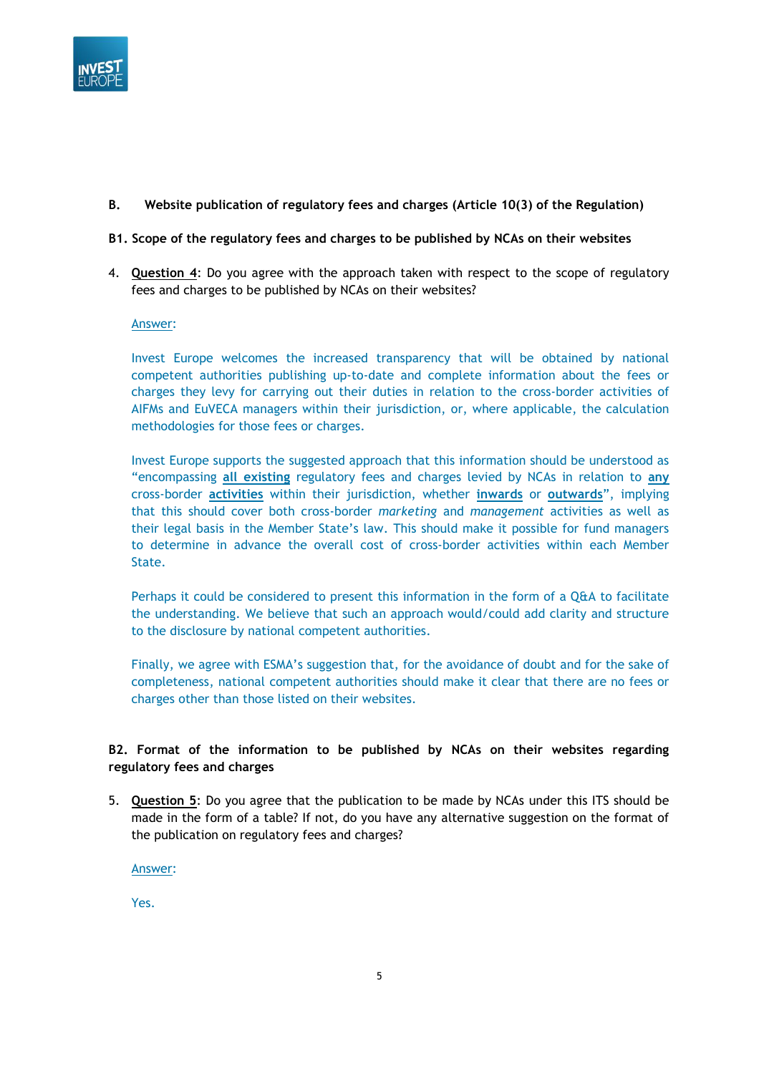

## **B. Website publication of regulatory fees and charges (Article 10(3) of the Regulation)**

## **B1. Scope of the regulatory fees and charges to be published by NCAs on their websites**

4. **Question 4**: Do you agree with the approach taken with respect to the scope of regulatory fees and charges to be published by NCAs on their websites?

#### Answer:

Invest Europe welcomes the increased transparency that will be obtained by national competent authorities publishing up-to-date and complete information about the fees or charges they levy for carrying out their duties in relation to the cross-border activities of AIFMs and EuVECA managers within their jurisdiction, or, where applicable, the calculation methodologies for those fees or charges.

Invest Europe supports the suggested approach that this information should be understood as "encompassing **all existing** regulatory fees and charges levied by NCAs in relation to **any** cross-border **activities** within their jurisdiction, whether **inwards** or **outwards**", implying that this should cover both cross-border *marketing* and *management* activities as well as their legal basis in the Member State's law. This should make it possible for fund managers to determine in advance the overall cost of cross-border activities within each Member State.

Perhaps it could be considered to present this information in the form of a Q&A to facilitate the understanding. We believe that such an approach would/could add clarity and structure to the disclosure by national competent authorities.

Finally, we agree with ESMA's suggestion that, for the avoidance of doubt and for the sake of completeness, national competent authorities should make it clear that there are no fees or charges other than those listed on their websites.

## **B2. Format of the information to be published by NCAs on their websites regarding regulatory fees and charges**

5. **Question 5**: Do you agree that the publication to be made by NCAs under this ITS should be made in the form of a table? If not, do you have any alternative suggestion on the format of the publication on regulatory fees and charges?

Answer:

Yes.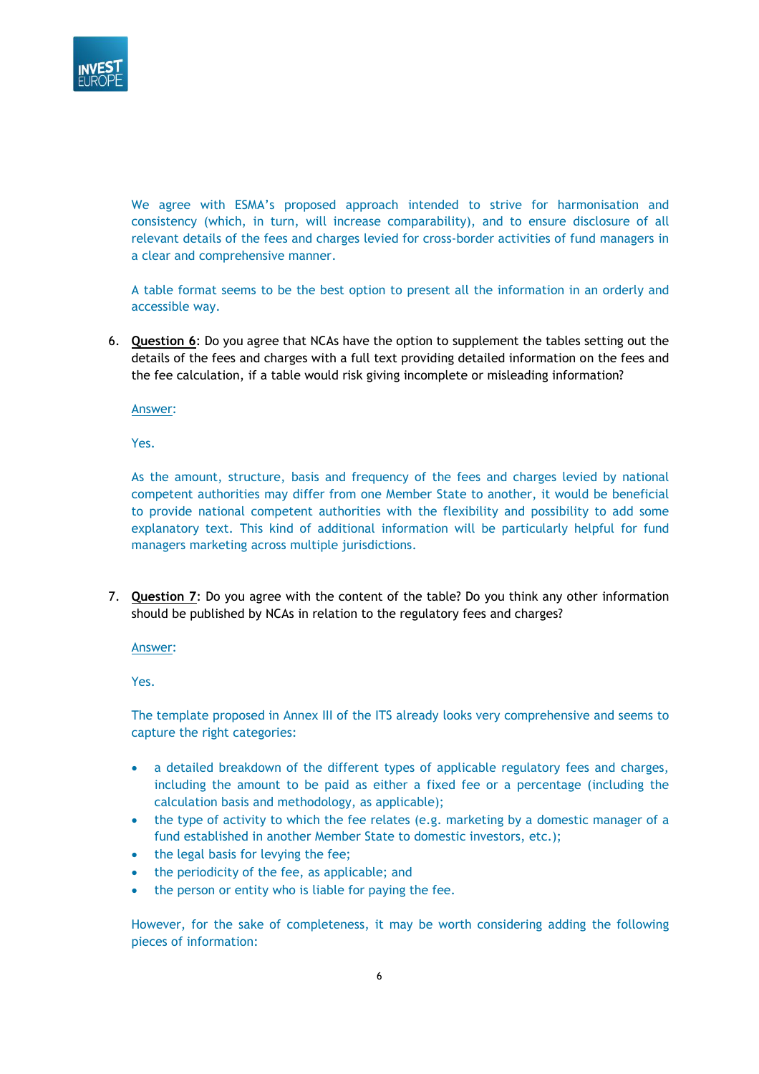

We agree with ESMA's proposed approach intended to strive for harmonisation and consistency (which, in turn, will increase comparability), and to ensure disclosure of all relevant details of the fees and charges levied for cross-border activities of fund managers in a clear and comprehensive manner.

A table format seems to be the best option to present all the information in an orderly and accessible way.

6. **Question 6**: Do you agree that NCAs have the option to supplement the tables setting out the details of the fees and charges with a full text providing detailed information on the fees and the fee calculation, if a table would risk giving incomplete or misleading information?

Answer:

Yes.

As the amount, structure, basis and frequency of the fees and charges levied by national competent authorities may differ from one Member State to another, it would be beneficial to provide national competent authorities with the flexibility and possibility to add some explanatory text. This kind of additional information will be particularly helpful for fund managers marketing across multiple jurisdictions.

7. **Question 7**: Do you agree with the content of the table? Do you think any other information should be published by NCAs in relation to the regulatory fees and charges?

Answer:

Yes.

The template proposed in Annex III of the ITS already looks very comprehensive and seems to capture the right categories:

- a detailed breakdown of the different types of applicable regulatory fees and charges, including the amount to be paid as either a fixed fee or a percentage (including the calculation basis and methodology, as applicable);
- the type of activity to which the fee relates (e.g. marketing by a domestic manager of a fund established in another Member State to domestic investors, etc.);
- the legal basis for levying the fee;
- the periodicity of the fee, as applicable; and
- the person or entity who is liable for paying the fee.

However, for the sake of completeness, it may be worth considering adding the following pieces of information: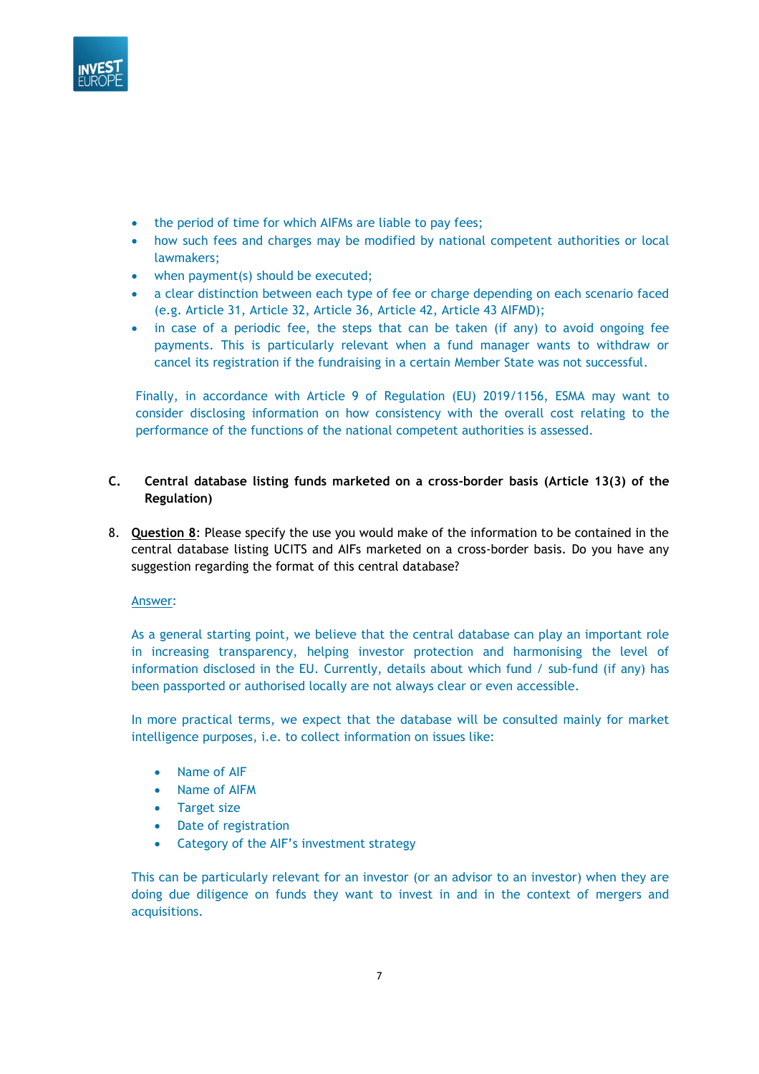

- the period of time for which AIFMs are liable to pay fees;
- how such fees and charges may be modified by national competent authorities or local lawmakers;
- when payment(s) should be executed;
- a clear distinction between each type of fee or charge depending on each scenario faced (e.g. Article 31, Article 32, Article 36, Article 42, Article 43 AIFMD);
- in case of a periodic fee, the steps that can be taken (if any) to avoid ongoing fee payments. This is particularly relevant when a fund manager wants to withdraw or cancel its registration if the fundraising in a certain Member State was not successful.

Finally, in accordance with Article 9 of Regulation (EU) 2019/1156, ESMA may want to consider disclosing information on how consistency with the overall cost relating to the performance of the functions of the national competent authorities is assessed.

## **C. Central database listing funds marketed on a cross-border basis (Article 13(3) of the Regulation)**

8. **Question 8**: Please specify the use you would make of the information to be contained in the central database listing UCITS and AIFs marketed on a cross-border basis. Do you have any suggestion regarding the format of this central database?

## Answer:

As a general starting point, we believe that the central database can play an important role in increasing transparency, helping investor protection and harmonising the level of information disclosed in the EU. Currently, details about which fund / sub-fund (if any) has been passported or authorised locally are not always clear or even accessible.

In more practical terms, we expect that the database will be consulted mainly for market intelligence purposes, i.e. to collect information on issues like:

- Name of AIF
- Name of AIFM
- Target size
- Date of registration
- Category of the AIF's investment strategy

This can be particularly relevant for an investor (or an advisor to an investor) when they are doing due diligence on funds they want to invest in and in the context of mergers and acquisitions.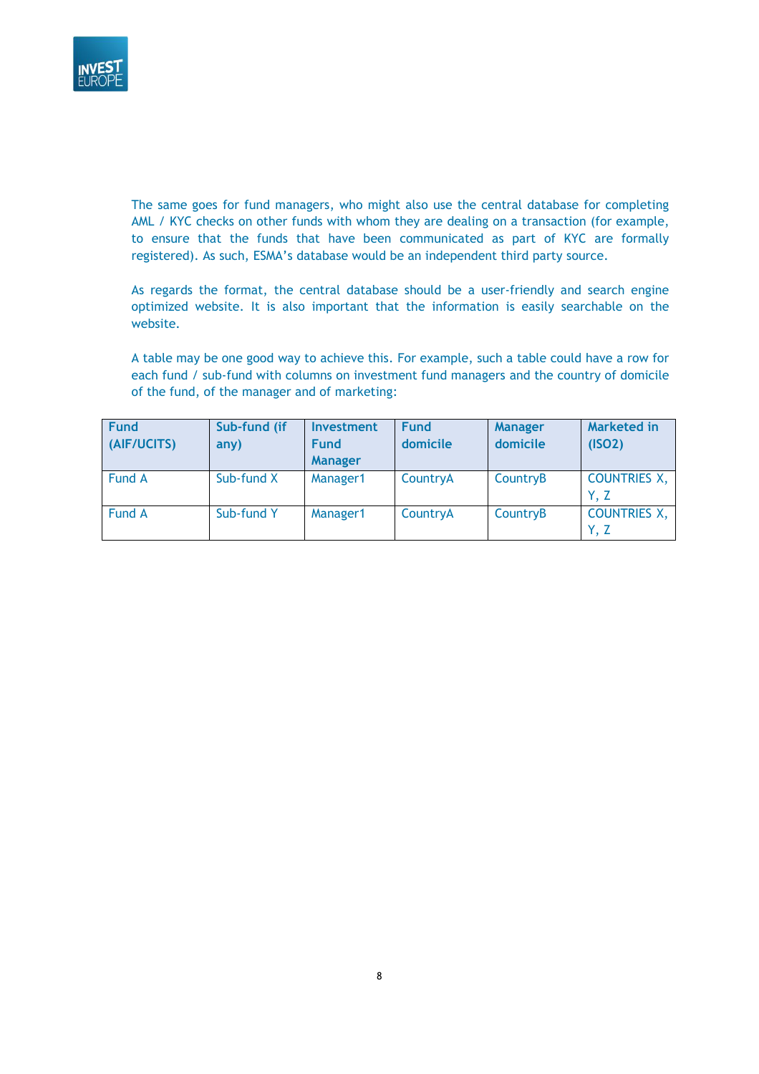

The same goes for fund managers, who might also use the central database for completing AML / KYC checks on other funds with whom they are dealing on a transaction (for example, to ensure that the funds that have been communicated as part of KYC are formally registered). As such, ESMA's database would be an independent third party source.

As regards the format, the central database should be a user-friendly and search engine optimized website. It is also important that the information is easily searchable on the website.

A table may be one good way to achieve this. For example, such a table could have a row for each fund / sub-fund with columns on investment fund managers and the country of domicile of the fund, of the manager and of marketing:

| <b>Fund</b><br>(AIF/UCITS) | Sub-fund (if<br>any) | <b>Investment</b><br><b>Fund</b><br><b>Manager</b> | <b>Fund</b><br>domicile | <b>Manager</b><br>domicile | Marketed in<br>(ISO2)       |
|----------------------------|----------------------|----------------------------------------------------|-------------------------|----------------------------|-----------------------------|
| Fund A                     | Sub-fund X           | Manager1                                           | CountryA                | CountryB                   | <b>COUNTRIES X,</b><br>Y. Z |
| Fund A                     | Sub-fund Y           | Manager1                                           | CountryA                | CountryB                   | <b>COUNTRIES X,</b><br>Y, Z |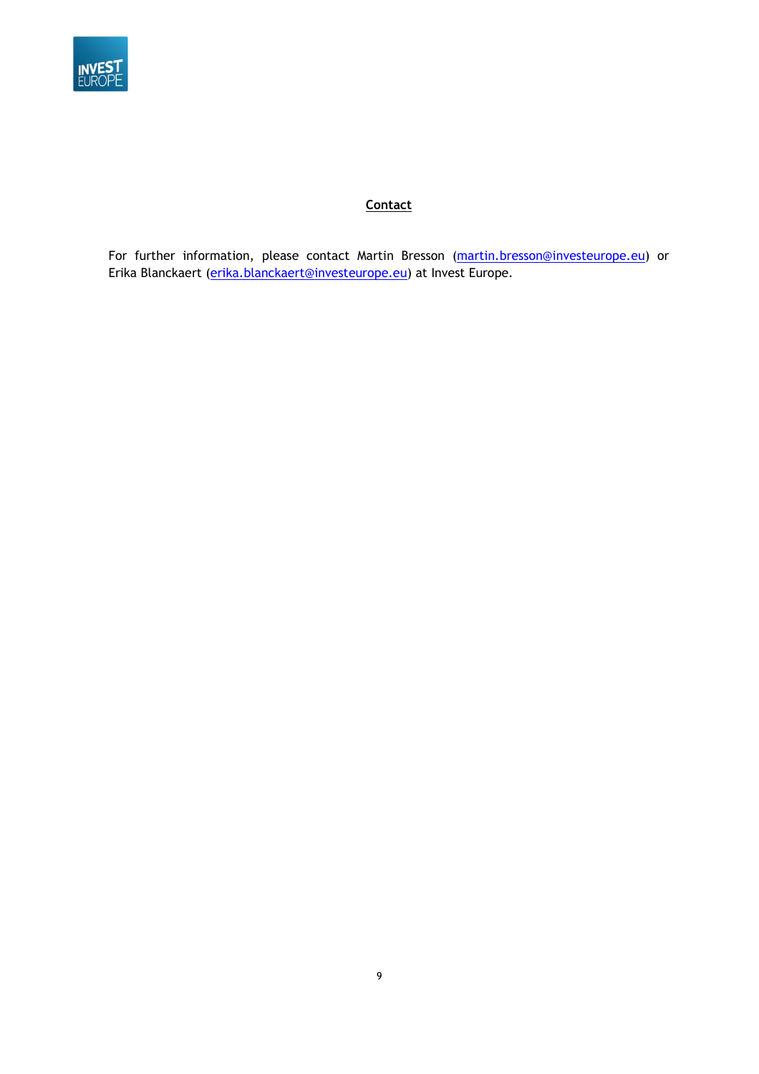

# **Contact**

For further information, please contact Martin Bresson [\(martin.bresson@investeurope.eu\)](mailto:martin.bresson@investeurope.eu) or Erika Blanckaert [\(erika.blanckaert@investeurope.eu\)](mailto:erika.blanckaert@investeurope.eu) at Invest Europe.